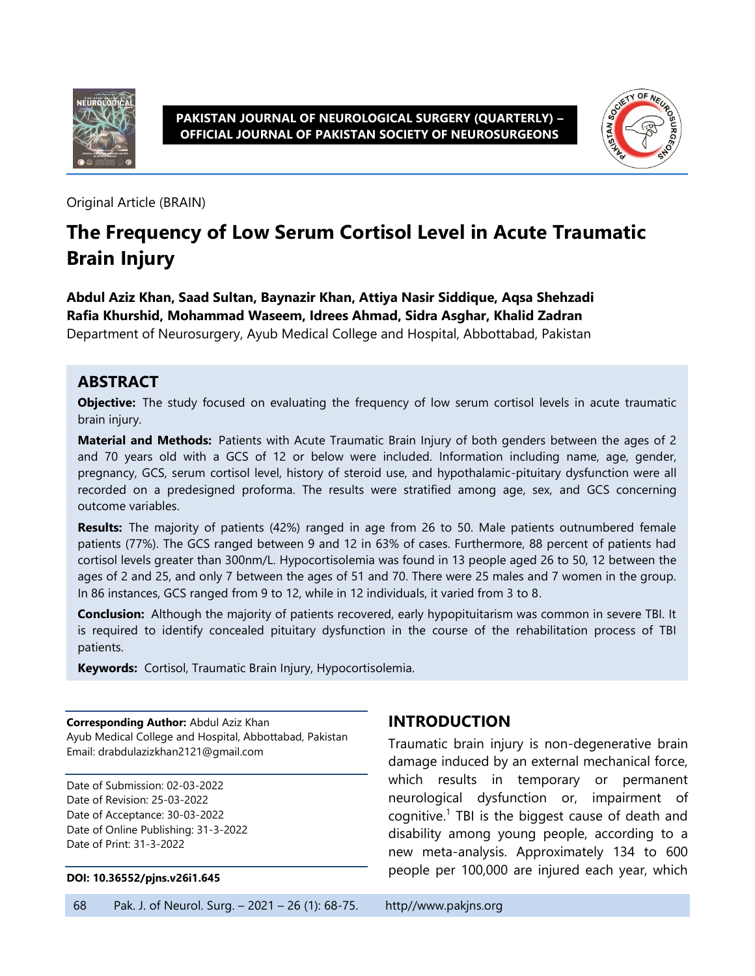

**PAKISTAN JOURNAL OF NEUROLOGICAL SURGERY (QUARTERLY) – OFFICIAL JOURNAL OF PAKISTAN SOCIETY OF NEUROSURGEONS**



Original Article (BRAIN)

# **The Frequency of Low Serum Cortisol Level in Acute Traumatic Brain Injury**

**Abdul Aziz Khan, Saad Sultan, Baynazir Khan, Attiya Nasir Siddique, Aqsa Shehzadi Rafia Khurshid, Mohammad Waseem, Idrees Ahmad, Sidra Asghar, Khalid Zadran** Department of Neurosurgery, Ayub Medical College and Hospital, Abbottabad, Pakistan

### **ABSTRACT**

**Objective:** The study focused on evaluating the frequency of low serum cortisol levels in acute traumatic brain injury.

**Material and Methods:** Patients with Acute Traumatic Brain Injury of both genders between the ages of 2 and 70 years old with a GCS of 12 or below were included. Information including name, age, gender, pregnancy, GCS, serum cortisol level, history of steroid use, and hypothalamic-pituitary dysfunction were all recorded on a predesigned proforma. The results were stratified among age, sex, and GCS concerning outcome variables.

**Results:** The majority of patients (42%) ranged in age from 26 to 50. Male patients outnumbered female patients (77%). The GCS ranged between 9 and 12 in 63% of cases. Furthermore, 88 percent of patients had cortisol levels greater than 300nm/L. Hypocortisolemia was found in 13 people aged 26 to 50, 12 between the ages of 2 and 25, and only 7 between the ages of 51 and 70. There were 25 males and 7 women in the group. In 86 instances, GCS ranged from 9 to 12, while in 12 individuals, it varied from 3 to 8.

**Conclusion:** Although the majority of patients recovered, early hypopituitarism was common in severe TBI. It is required to identify concealed pituitary dysfunction in the course of the rehabilitation process of TBI patients.

**Keywords:** Cortisol, Traumatic Brain Injury, Hypocortisolemia.

**Corresponding Author:** Abdul Aziz Khan Ayub Medical College and Hospital, Abbottabad, Pakistan Email: drabdulazizkhan2121@gmail.com

Date of Submission: 02-03-2022 Date of Revision: 25-03-2022 Date of Acceptance: 30-03-2022 Date of Online Publishing: 31-3-2022 Date of Print: 31-3-2022

#### **DOI: 10.36552/pjns.v26i1.645**

## **INTRODUCTION**

Traumatic brain injury is non-degenerative brain damage induced by an external mechanical force, which results in temporary or permanent neurological dysfunction or, impairment of cognitive. $1$  TBI is the biggest cause of death and disability among young people, according to a new meta-analysis. Approximately 134 to 600 people per 100,000 are injured each year, which

68 Pak. J. of Neurol. Surg. – 2021 – 26 (1): 68-75. http//www.pakjns.org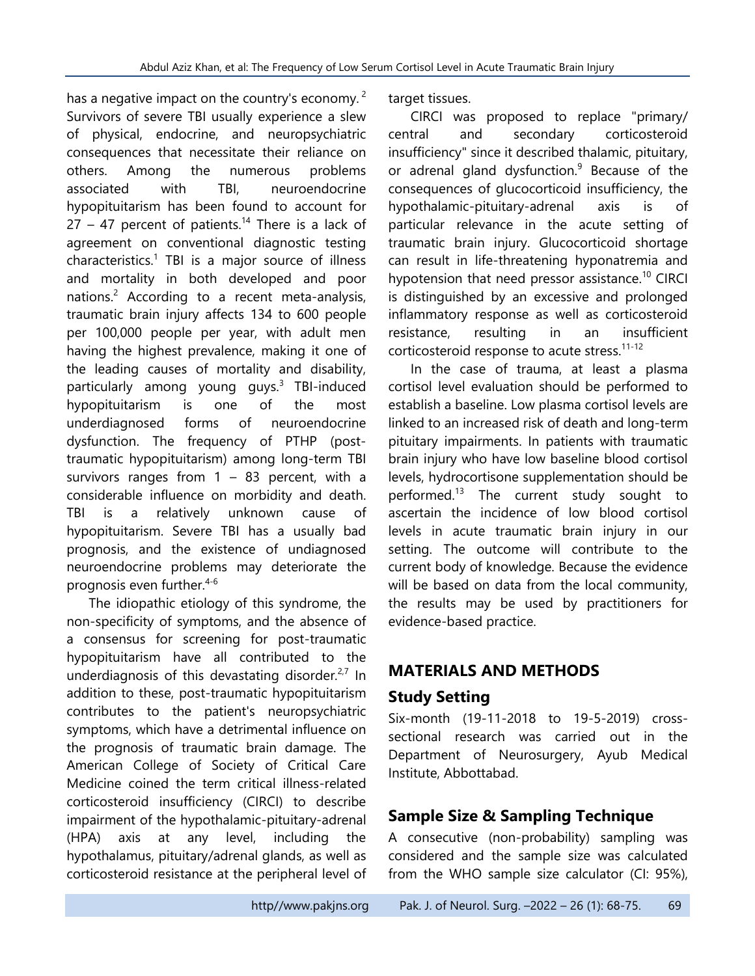has a negative impact on the country's economy.  $2$ Survivors of severe TBI usually experience a slew of physical, endocrine, and neuropsychiatric consequences that necessitate their reliance on others. Among the numerous problems associated with TBI, neuroendocrine hypopituitarism has been found to account for  $27 - 47$  percent of patients.<sup>14</sup> There is a lack of agreement on conventional diagnostic testing characteristics. 1 TBI is a major source of illness and mortality in both developed and poor nations.<sup>2</sup> According to a recent meta-analysis, traumatic brain injury affects 134 to 600 people per 100,000 people per year, with adult men having the highest prevalence, making it one of the leading causes of mortality and disability, particularly among young guys.<sup>3</sup> TBI-induced hypopituitarism is one of the most underdiagnosed forms of neuroendocrine dysfunction. The frequency of PTHP (posttraumatic hypopituitarism) among long-term TBI survivors ranges from  $1 - 83$  percent, with a considerable influence on morbidity and death. TBI is a relatively unknown cause of hypopituitarism. Severe TBI has a usually bad prognosis, and the existence of undiagnosed neuroendocrine problems may deteriorate the prognosis even further.4-6

The idiopathic etiology of this syndrome, the non-specificity of symptoms, and the absence of a consensus for screening for post-traumatic hypopituitarism have all contributed to the underdiagnosis of this devastating disorder. $2,7$  In addition to these, post-traumatic hypopituitarism contributes to the patient's neuropsychiatric symptoms, which have a detrimental influence on the prognosis of traumatic brain damage. The American College of Society of Critical Care Medicine coined the term critical illness-related corticosteroid insufficiency (CIRCI) to describe impairment of the hypothalamic-pituitary-adrenal (HPA) axis at any level, including the hypothalamus, pituitary/adrenal glands, as well as corticosteroid resistance at the peripheral level of

target tissues.

CIRCI was proposed to replace "primary/ central and secondary corticosteroid insufficiency" since it described thalamic, pituitary, or adrenal gland dysfunction. $9$  Because of the consequences of glucocorticoid insufficiency, the hypothalamic-pituitary-adrenal axis is of particular relevance in the acute setting of traumatic brain injury. Glucocorticoid shortage can result in life-threatening hyponatremia and hypotension that need pressor assistance.<sup>10</sup> CIRCI is distinguished by an excessive and prolonged inflammatory response as well as corticosteroid resistance, resulting in an insufficient corticosteroid response to acute stress.11-12

In the case of trauma, at least a plasma cortisol level evaluation should be performed to establish a baseline. Low plasma cortisol levels are linked to an increased risk of death and long-term pituitary impairments. In patients with traumatic brain injury who have low baseline blood cortisol levels, hydrocortisone supplementation should be performed.<sup>13</sup> The current study sought to ascertain the incidence of low blood cortisol levels in acute traumatic brain injury in our setting. The outcome will contribute to the current body of knowledge. Because the evidence will be based on data from the local community, the results may be used by practitioners for evidence-based practice.

# **MATERIALS AND METHODS**

## **Study Setting**

Six-month (19-11-2018 to 19-5-2019) crosssectional research was carried out in the Department of Neurosurgery, Ayub Medical Institute, Abbottabad.

## **Sample Size & Sampling Technique**

A consecutive (non-probability) sampling was considered and the sample size was calculated from the WHO sample size calculator (CI: 95%),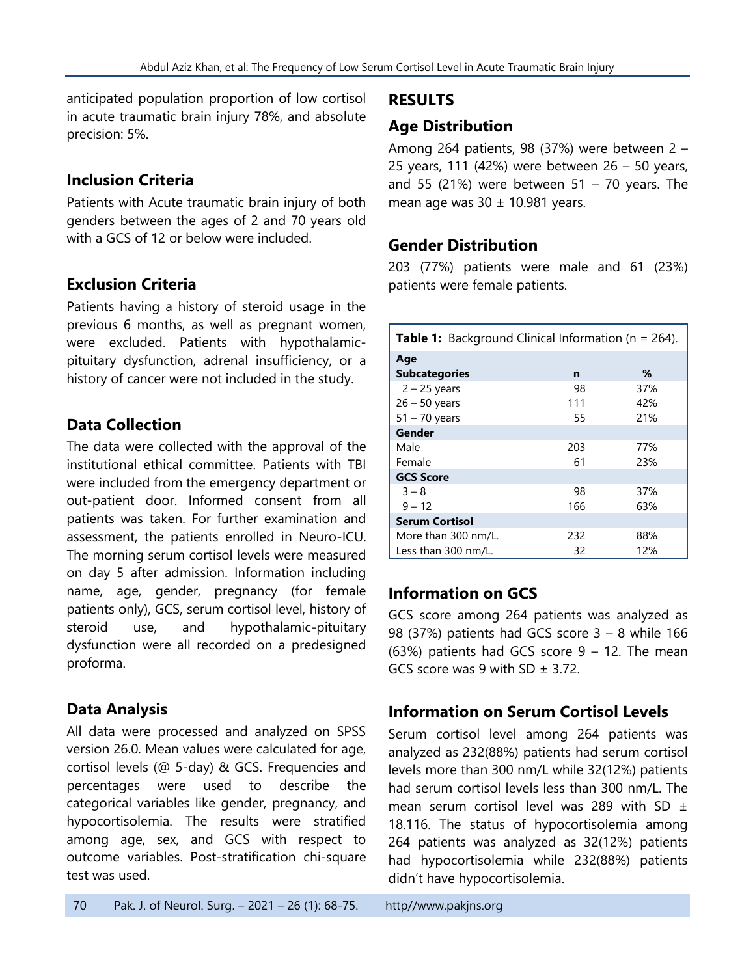anticipated population proportion of low cortisol in acute traumatic brain injury 78%, and absolute precision: 5%.

### **Inclusion Criteria**

Patients with Acute traumatic brain injury of both genders between the ages of 2 and 70 years old with a GCS of 12 or below were included.

## **Exclusion Criteria**

Patients having a history of steroid usage in the previous 6 months, as well as pregnant women, were excluded. Patients with hypothalamicpituitary dysfunction, adrenal insufficiency, or a history of cancer were not included in the study.

### **Data Collection**

The data were collected with the approval of the institutional ethical committee. Patients with TBI were included from the emergency department or out-patient door. Informed consent from all patients was taken. For further examination and assessment, the patients enrolled in Neuro-ICU. The morning serum cortisol levels were measured on day 5 after admission. Information including name, age, gender, pregnancy (for female patients only), GCS, serum cortisol level, history of steroid use, and hypothalamic-pituitary dysfunction were all recorded on a predesigned proforma.

## **Data Analysis**

All data were processed and analyzed on SPSS version 26.0. Mean values were calculated for age, cortisol levels (@ 5-day) & GCS. Frequencies and percentages were used to describe the categorical variables like gender, pregnancy, and hypocortisolemia. The results were stratified among age, sex, and GCS with respect to outcome variables. Post-stratification chi-square test was used.

# Among 264 patients, 98 (37%) were between 2 –

**RESULTS**

**Age Distribution**

25 years, 111 (42%) were between 26 – 50 years, and 55 (21%) were between 51 – 70 years. The mean age was  $30 \pm 10.981$  years.

### **Gender Distribution**

203 (77%) patients were male and 61 (23%) patients were female patients.

| <b>Table 1:</b> Background Clinical Information ( $n = 264$ ). |     |     |  |
|----------------------------------------------------------------|-----|-----|--|
| Age                                                            |     |     |  |
| <b>Subcategories</b>                                           | n   | ℅   |  |
| $2 - 25$ years                                                 | 98  | 37% |  |
| $26 - 50$ years                                                | 111 | 42% |  |
| $51 - 70$ years                                                | 55  | 21% |  |
| Gender                                                         |     |     |  |
| Male                                                           | 203 | 77% |  |
| Female                                                         | 61  | 23% |  |
| <b>GCS Score</b>                                               |     |     |  |
| $3 - 8$                                                        | 98  | 37% |  |
| $9 - 12$                                                       | 166 | 63% |  |
| <b>Serum Cortisol</b>                                          |     |     |  |
| More than 300 nm/L.                                            | 232 | 88% |  |
| Less than 300 nm/L.                                            | 32  | 12% |  |

## **Information on GCS**

GCS score among 264 patients was analyzed as 98 (37%) patients had GCS score  $3 - 8$  while 166 (63%) patients had GCS score  $9 - 12$ . The mean GCS score was 9 with SD  $\pm$  3.72.

### **Information on Serum Cortisol Levels**

Serum cortisol level among 264 patients was analyzed as 232(88%) patients had serum cortisol levels more than 300 nm/L while 32(12%) patients had serum cortisol levels less than 300 nm/L. The mean serum cortisol level was 289 with SD  $\pm$ 18.116. The status of hypocortisolemia among 264 patients was analyzed as 32(12%) patients had hypocortisolemia while 232(88%) patients didn't have hypocortisolemia.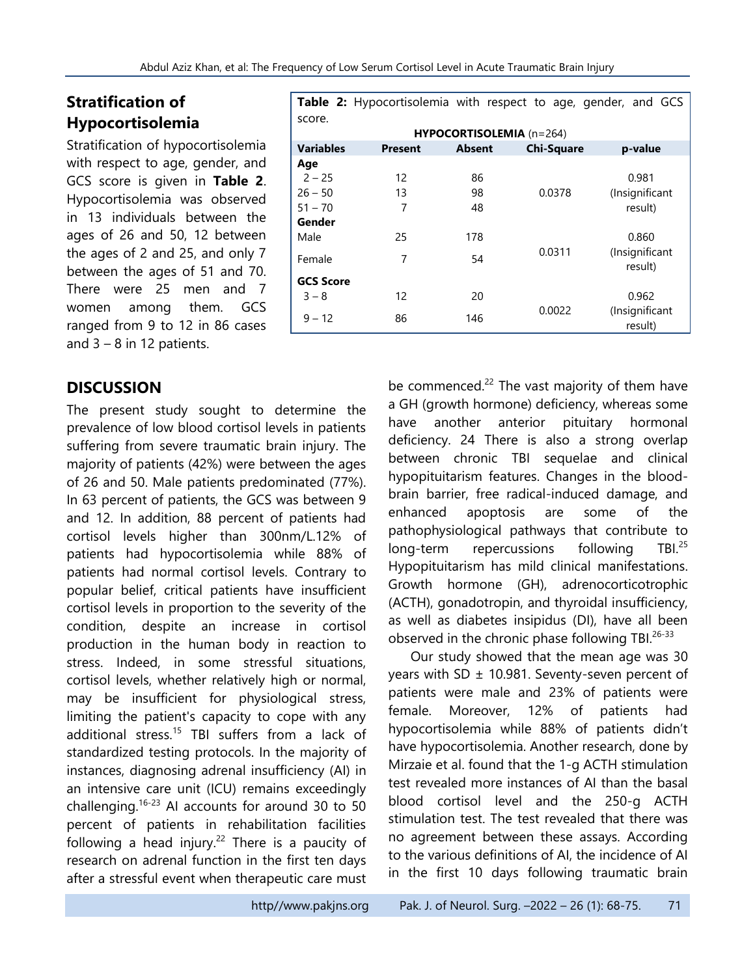# **Stratification of Hypocortisolemia**

Stratification of hypocortisolemia with respect to age, gender, and GCS score is given in **Table 2**. Hypocortisolemia was observed in 13 individuals between the ages of 26 and 50, 12 between the ages of 2 and 25, and only 7 between the ages of 51 and 70. There were 25 men and 7 women among them. GCS ranged from 9 to 12 in 86 cases and  $3 - 8$  in 12 patients.

### **DISCUSSION**

The present study sought to determine the prevalence of low blood cortisol levels in patients suffering from severe traumatic brain injury. The majority of patients (42%) were between the ages of 26 and 50. Male patients predominated (77%). In 63 percent of patients, the GCS was between 9 and 12. In addition, 88 percent of patients had cortisol levels higher than 300nm/L.12% of patients had hypocortisolemia while 88% of patients had normal cortisol levels. Contrary to popular belief, critical patients have insufficient cortisol levels in proportion to the severity of the condition, despite an increase in cortisol production in the human body in reaction to stress. Indeed, in some stressful situations, cortisol levels, whether relatively high or normal, may be insufficient for physiological stress, limiting the patient's capacity to cope with any additional stress.<sup>15</sup> TBI suffers from a lack of standardized testing protocols. In the majority of instances, diagnosing adrenal insufficiency (AI) in an intensive care unit (ICU) remains exceedingly challenging. $16-23$  AI accounts for around 30 to 50 percent of patients in rehabilitation facilities following a head injury.<sup>22</sup> There is a paucity of research on adrenal function in the first ten days after a stressful event when therapeutic care must

**Table 2:** Hypocortisolemia with respect to age, gender, and GCS score. **HYPOCORTISOLEMIA** (n=264) **Variables Present Absent Chi-Square p-value Age**  $2 - 25$  12 86 0.0378 0.981 (Insignificant result)  $26 - 50$  13 98 51 – 70 7 48 **Gender** Male 25 20 25 0.0311 0.860 (Insignificant Female 7 54 54 result) **GCS Score**  $3 - 8$  12 20 0.0022 0.962 (Insignificant result) <sup>9</sup> – <sup>12</sup> <sup>86</sup> <sup>146</sup>

> be commenced. $^{22}$  The vast majority of them have a GH (growth hormone) deficiency, whereas some have another anterior pituitary hormonal deficiency. 24 There is also a strong overlap between chronic TBI sequelae and clinical hypopituitarism features. Changes in the bloodbrain barrier, free radical-induced damage, and enhanced apoptosis are some of the pathophysiological pathways that contribute to long-term repercussions following TBI.<sup>25</sup> Hypopituitarism has mild clinical manifestations. Growth hormone (GH), adrenocorticotrophic (ACTH), gonadotropin, and thyroidal insufficiency, as well as diabetes insipidus (DI), have all been observed in the chronic phase following TBI.<sup>26-33</sup>

> Our study showed that the mean age was 30 years with SD  $\pm$  10.981. Seventy-seven percent of patients were male and 23% of patients were female. Moreover, 12% of patients had hypocortisolemia while 88% of patients didn't have hypocortisolemia. Another research, done by Mirzaie et al. found that the 1-g ACTH stimulation test revealed more instances of AI than the basal blood cortisol level and the 250-g ACTH stimulation test. The test revealed that there was no agreement between these assays. According to the various definitions of AI, the incidence of AI in the first 10 days following traumatic brain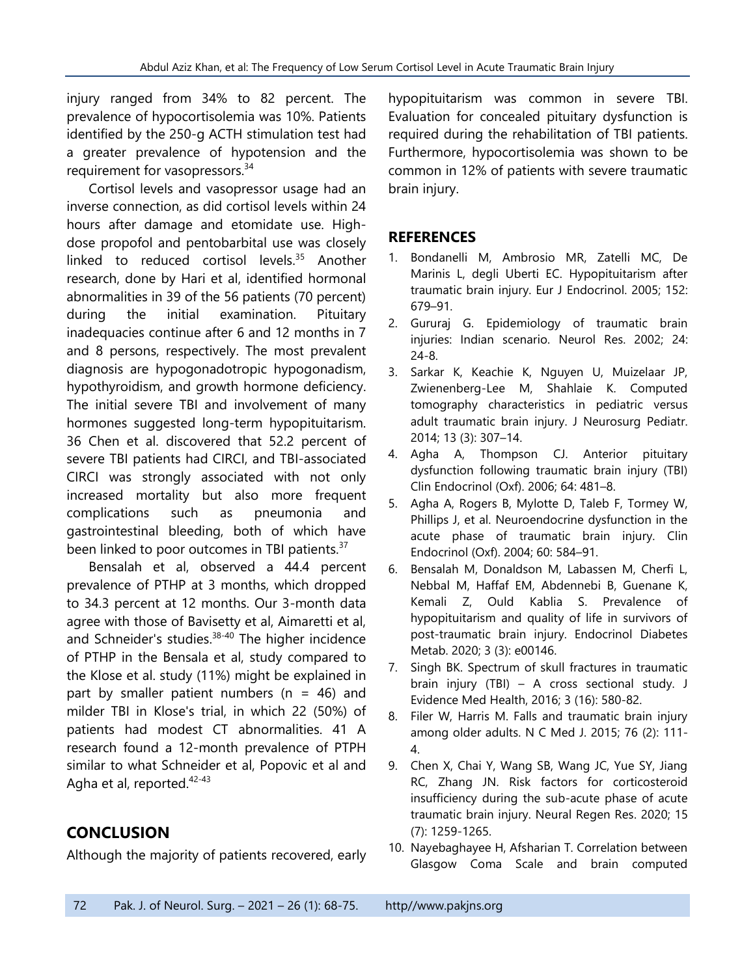injury ranged from 34% to 82 percent. The prevalence of hypocortisolemia was 10%. Patients identified by the 250-g ACTH stimulation test had a greater prevalence of hypotension and the requirement for vasopressors.<sup>34</sup>

Cortisol levels and vasopressor usage had an inverse connection, as did cortisol levels within 24 hours after damage and etomidate use. Highdose propofol and pentobarbital use was closely linked to reduced cortisol levels.<sup>35</sup> Another research, done by Hari et al, identified hormonal abnormalities in 39 of the 56 patients (70 percent) during the initial examination. Pituitary inadequacies continue after 6 and 12 months in 7 and 8 persons, respectively. The most prevalent diagnosis are hypogonadotropic hypogonadism, hypothyroidism, and growth hormone deficiency. The initial severe TBI and involvement of many hormones suggested long-term hypopituitarism. 36 Chen et al. discovered that 52.2 percent of severe TBI patients had CIRCI, and TBI-associated CIRCI was strongly associated with not only increased mortality but also more frequent complications such as pneumonia and gastrointestinal bleeding, both of which have been linked to poor outcomes in TBI patients.<sup>37</sup>

Bensalah et al, observed a 44.4 percent prevalence of PTHP at 3 months, which dropped to 34.3 percent at 12 months. Our 3-month data agree with those of Bavisetty et al, Aimaretti et al, and Schneider's studies.<sup>38-40</sup> The higher incidence of PTHP in the Bensala et al, study compared to the Klose et al. study (11%) might be explained in part by smaller patient numbers ( $n = 46$ ) and milder TBI in Klose's trial, in which 22 (50%) of patients had modest CT abnormalities. 41 A research found a 12-month prevalence of PTPH similar to what Schneider et al, Popovic et al and Agha et al, reported.<sup>42-43</sup>

## **CONCLUSION**

Although the majority of patients recovered, early

hypopituitarism was common in severe TBI. Evaluation for concealed pituitary dysfunction is required during the rehabilitation of TBI patients. Furthermore, hypocortisolemia was shown to be common in 12% of patients with severe traumatic brain injury.

#### **REFERENCES**

- 1. Bondanelli M, Ambrosio MR, Zatelli MC, De Marinis L, degli Uberti EC. Hypopituitarism after traumatic brain injury. Eur J Endocrinol. 2005; 152: 679–91.
- 2. Gururaj G. Epidemiology of traumatic brain injuries: Indian scenario. Neurol Res. 2002; 24: 24-8.
- 3. Sarkar K, Keachie K, Nguyen U, Muizelaar JP, Zwienenberg-Lee M, Shahlaie K. Computed tomography characteristics in pediatric versus adult traumatic brain injury. J Neurosurg Pediatr. 2014; 13 (3): 307–14.
- 4. Agha A, Thompson CJ. Anterior pituitary dysfunction following traumatic brain injury (TBI) Clin Endocrinol (Oxf). 2006; 64: 481–8.
- 5. Agha A, Rogers B, Mylotte D, Taleb F, Tormey W, Phillips J, et al. Neuroendocrine dysfunction in the acute phase of traumatic brain injury. Clin Endocrinol (Oxf). 2004; 60: 584–91.
- 6. Bensalah M, Donaldson M, Labassen M, Cherfi L, Nebbal M, Haffaf EM, Abdennebi B, Guenane K, Kemali Z, Ould Kablia S. Prevalence of hypopituitarism and quality of life in survivors of post-traumatic brain injury. Endocrinol Diabetes Metab. 2020; 3 (3): e00146.
- 7. Singh BK. Spectrum of skull fractures in traumatic brain injury (TBI) – A cross sectional study. J Evidence Med Health, 2016; 3 (16): 580-82.
- 8. Filer W, Harris M. Falls and traumatic brain injury among older adults. N C Med J. 2015; 76 (2): 111- 4.
- 9. Chen X, Chai Y, Wang SB, Wang JC, Yue SY, Jiang RC, Zhang JN. Risk factors for corticosteroid insufficiency during the sub-acute phase of acute traumatic brain injury. Neural Regen Res. 2020; 15 (7): 1259-1265.
- 10. Nayebaghayee H, Afsharian T. Correlation between Glasgow Coma Scale and brain computed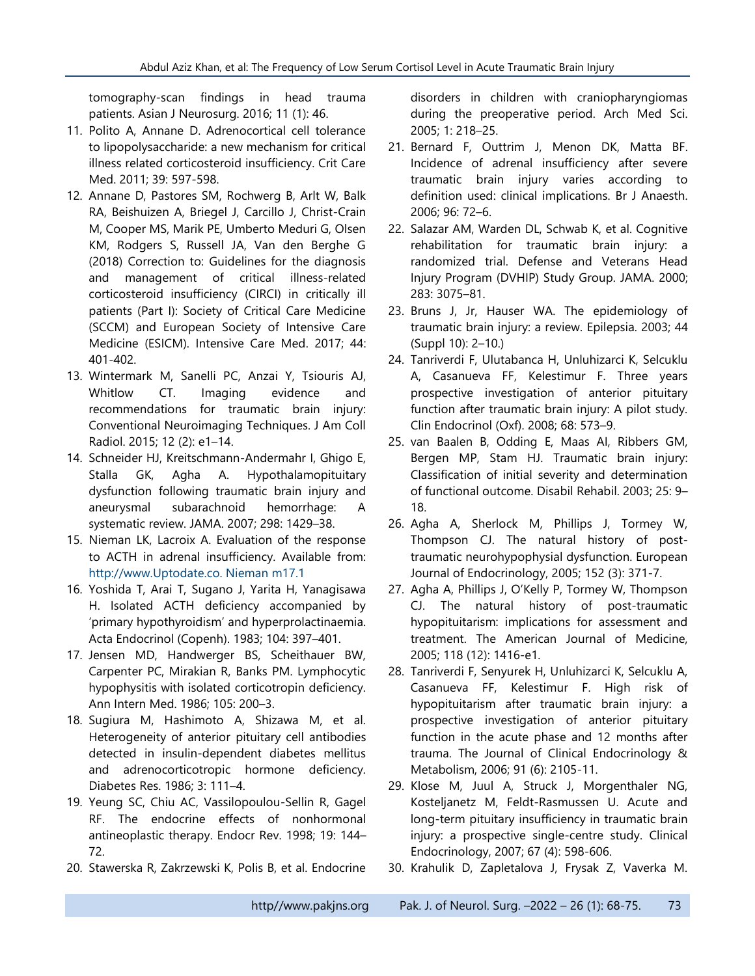tomography-scan findings in head trauma patients. Asian J Neurosurg. 2016; 11 (1): 46.

- 11. Polito A, Annane D. Adrenocortical cell tolerance to lipopolysaccharide: a new mechanism for critical illness related corticosteroid insufficiency. Crit Care Med. 2011; 39: 597-598.
- 12. Annane D, Pastores SM, Rochwerg B, Arlt W, Balk RA, Beishuizen A, Briegel J, Carcillo J, Christ-Crain M, Cooper MS, Marik PE, Umberto Meduri G, Olsen KM, Rodgers S, Russell JA, Van den Berghe G (2018) Correction to: Guidelines for the diagnosis and management of critical illness-related corticosteroid insufficiency (CIRCI) in critically ill patients (Part I): Society of Critical Care Medicine (SCCM) and European Society of Intensive Care Medicine (ESICM). Intensive Care Med. 2017; 44: 401-402.
- 13. Wintermark M, Sanelli PC, Anzai Y, Tsiouris AJ, Whitlow CT. Imaging evidence and recommendations for traumatic brain injury: Conventional Neuroimaging Techniques. J Am Coll Radiol. 2015; 12 (2): e1–14.
- 14. Schneider HJ, Kreitschmann-Andermahr I, Ghigo E, Stalla GK, Agha A. Hypothalamopituitary dysfunction following traumatic brain injury and aneurysmal subarachnoid hemorrhage: A systematic review. JAMA. 2007; 298: 1429–38.
- 15. Nieman LK, Lacroix A. Evaluation of the response to ACTH in adrenal insufficiency. Available from: http://www.Uptodate.co. Nieman m17.1
- 16. Yoshida T, Arai T, Sugano J, Yarita H, Yanagisawa H. Isolated ACTH deficiency accompanied by 'primary hypothyroidism' and hyperprolactinaemia. Acta Endocrinol (Copenh). 1983; 104: 397–401.
- 17. Jensen MD, Handwerger BS, Scheithauer BW, Carpenter PC, Mirakian R, Banks PM. Lymphocytic hypophysitis with isolated corticotropin deficiency. Ann Intern Med. 1986; 105: 200–3.
- 18. Sugiura M, Hashimoto A, Shizawa M, et al. Heterogeneity of anterior pituitary cell antibodies detected in insulin-dependent diabetes mellitus and adrenocorticotropic hormone deficiency. Diabetes Res. 1986; 3: 111–4.
- 19. Yeung SC, Chiu AC, Vassilopoulou-Sellin R, Gagel RF. The endocrine effects of nonhormonal antineoplastic therapy. Endocr Rev. 1998; 19: 144– 72.
- 20. Stawerska R, Zakrzewski K, Polis B, et al. Endocrine

disorders in children with craniopharyngiomas during the preoperative period. Arch Med Sci. 2005; 1: 218–25.

- 21. Bernard F, Outtrim J, Menon DK, Matta BF. Incidence of adrenal insufficiency after severe traumatic brain injury varies according to definition used: clinical implications. Br J Anaesth. 2006; 96: 72–6.
- 22. Salazar AM, Warden DL, Schwab K, et al. Cognitive rehabilitation for traumatic brain injury: a randomized trial. Defense and Veterans Head Injury Program (DVHIP) Study Group. JAMA. 2000; 283: 3075–81.
- 23. Bruns J, Jr, Hauser WA. The epidemiology of traumatic brain injury: a review. Epilepsia. 2003; 44 (Suppl 10): 2–10.)
- 24. Tanriverdi F, Ulutabanca H, Unluhizarci K, Selcuklu A, Casanueva FF, Kelestimur F. Three years prospective investigation of anterior pituitary function after traumatic brain injury: A pilot study. Clin Endocrinol (Oxf). 2008; 68: 573–9.
- 25. van Baalen B, Odding E, Maas AI, Ribbers GM, Bergen MP, Stam HJ. Traumatic brain injury: Classification of initial severity and determination of functional outcome. Disabil Rehabil. 2003; 25: 9– 18.
- 26. Agha A, Sherlock M, Phillips J, Tormey W, Thompson CJ. The natural history of posttraumatic neurohypophysial dysfunction. European Journal of Endocrinology, 2005; 152 (3): 371-7.
- 27. Agha A, Phillips J, O'Kelly P, Tormey W, Thompson CJ. The natural history of post-traumatic hypopituitarism: implications for assessment and treatment. The American Journal of Medicine, 2005; 118 (12): 1416-e1.
- 28. Tanriverdi F, Senyurek H, Unluhizarci K, Selcuklu A, Casanueva FF, Kelestimur F. High risk of hypopituitarism after traumatic brain injury: a prospective investigation of anterior pituitary function in the acute phase and 12 months after trauma. The Journal of Clinical Endocrinology & Metabolism, 2006; 91 (6): 2105-11.
- 29. Klose M, Juul A, Struck J, Morgenthaler NG, Kosteljanetz M, Feldt-Rasmussen U. Acute and long-term pituitary insufficiency in traumatic brain injury: a prospective single-centre study. Clinical Endocrinology, 2007; 67 (4): 598-606.
- 30. Krahulik D, Zapletalova J, Frysak Z, Vaverka M.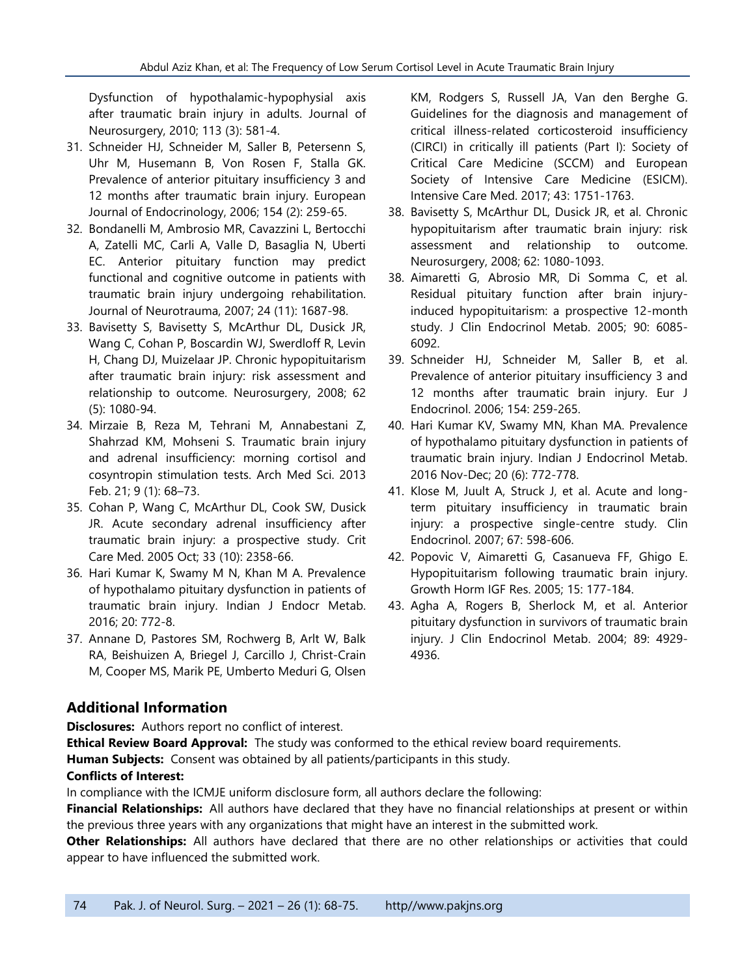Dysfunction of hypothalamic-hypophysial axis after traumatic brain injury in adults. Journal of Neurosurgery, 2010; 113 (3): 581-4.

- 31. Schneider HJ, Schneider M, Saller B, Petersenn S, Uhr M, Husemann B, Von Rosen F, Stalla GK. Prevalence of anterior pituitary insufficiency 3 and 12 months after traumatic brain injury. European Journal of Endocrinology, 2006; 154 (2): 259-65.
- 32. Bondanelli M, Ambrosio MR, Cavazzini L, Bertocchi A, Zatelli MC, Carli A, Valle D, Basaglia N, Uberti EC. Anterior pituitary function may predict functional and cognitive outcome in patients with traumatic brain injury undergoing rehabilitation. Journal of Neurotrauma, 2007; 24 (11): 1687-98.
- 33. Bavisetty S, Bavisetty S, McArthur DL, Dusick JR, Wang C, Cohan P, Boscardin WJ, Swerdloff R, Levin H, Chang DJ, Muizelaar JP. Chronic hypopituitarism after traumatic brain injury: risk assessment and relationship to outcome. Neurosurgery, 2008; 62 (5): 1080-94.
- 34. [Mirzaie](https://www.ncbi.nlm.nih.gov/pubmed/?term=Mirzaie%20B%5BAuthor%5D&cauthor=true&cauthor_uid=23515961) B, [Reza M, Tehrani](https://www.ncbi.nlm.nih.gov/pubmed/?term=Mohajeri-Tehrani%20MR%5BAuthor%5D&cauthor=true&cauthor_uid=23515961) M, [Annabestani](https://www.ncbi.nlm.nih.gov/pubmed/?term=Annabestani%20Z%5BAuthor%5D&cauthor=true&cauthor_uid=23515961) Z, [Shahrzad](https://www.ncbi.nlm.nih.gov/pubmed/?term=Shahrzad%20MK%5BAuthor%5D&cauthor=true&cauthor_uid=23515961) KM, [Mohseni](https://www.ncbi.nlm.nih.gov/pubmed/?term=Mohseni%20S%5BAuthor%5D&cauthor=true&cauthor_uid=23515961) S. Traumatic brain injury and adrenal insufficiency: morning cortisol and cosyntropin stimulation tests. [Arch Med Sci.](https://www.ncbi.nlm.nih.gov/pmc/articles/PMC3598134/) 2013 Feb. 21; 9 (1): 68–73.
- 35. [Cohan P,](https://www.ncbi.nlm.nih.gov/pubmed/?term=Cohan%20P%5BAuthor%5D&cauthor=true&cauthor_uid=16215393) [Wang C,](https://www.ncbi.nlm.nih.gov/pubmed/?term=Wang%20C%5BAuthor%5D&cauthor=true&cauthor_uid=16215393) [McArthur DL,](https://www.ncbi.nlm.nih.gov/pubmed/?term=McArthur%20DL%5BAuthor%5D&cauthor=true&cauthor_uid=16215393) [Cook SW,](https://www.ncbi.nlm.nih.gov/pubmed/?term=Cook%20SW%5BAuthor%5D&cauthor=true&cauthor_uid=16215393) [Dusick](https://www.ncbi.nlm.nih.gov/pubmed/?term=Dusick%20JR%5BAuthor%5D&cauthor=true&cauthor_uid=16215393)  [JR.](https://www.ncbi.nlm.nih.gov/pubmed/?term=Dusick%20JR%5BAuthor%5D&cauthor=true&cauthor_uid=16215393) Acute secondary adrenal insufficiency after traumatic brain injury: a prospective study. [Crit](https://www.ncbi.nlm.nih.gov/pubmed/16215393)  [Care Med.](https://www.ncbi.nlm.nih.gov/pubmed/16215393) 2005 Oct; 33 (10): 2358-66.
- 36. Hari Kumar K, Swamy M N, Khan M A. Prevalence of hypothalamo pituitary dysfunction in patients of traumatic brain injury. Indian J Endocr Metab. 2016; 20: 772-8.
- 37. Annane D, Pastores SM, Rochwerg B, Arlt W, Balk RA, Beishuizen A, Briegel J, Carcillo J, Christ-Crain M, Cooper MS, Marik PE, Umberto Meduri G, Olsen

KM, Rodgers S, Russell JA, Van den Berghe G. Guidelines for the diagnosis and management of critical illness-related corticosteroid insufficiency (CIRCI) in critically ill patients (Part I): Society of Critical Care Medicine (SCCM) and European Society of Intensive Care Medicine (ESICM). Intensive Care Med. 2017; 43: 1751-1763.

- 38. Bavisetty S, McArthur DL, Dusick JR, et al. Chronic hypopituitarism after traumatic brain injury: risk assessment and relationship to outcome. Neurosurgery, 2008; 62: 1080-1093.
- 38. Aimaretti G, Abrosio MR, Di Somma C, et al. Residual pituitary function after brain injuryinduced hypopituitarism: a prospective 12-month study. J Clin Endocrinol Metab. 2005; 90: 6085- 6092.
- 39. Schneider HJ, Schneider M, Saller B, et al. Prevalence of anterior pituitary insufficiency 3 and 12 months after traumatic brain injury. Eur J Endocrinol. 2006; 154: 259-265.
- 40. Hari Kumar KV, Swamy MN, Khan MA. Prevalence of hypothalamo pituitary dysfunction in patients of traumatic brain injury. Indian J Endocrinol Metab. 2016 Nov-Dec; 20 (6): 772-778.
- 41. Klose M, Juult A, Struck J, et al. Acute and longterm pituitary insufficiency in traumatic brain injury: a prospective single-centre study. Clin Endocrinol. 2007; 67: 598-606.
- 42. Popovic V, Aimaretti G, Casanueva FF, Ghigo E. Hypopituitarism following traumatic brain injury. Growth Horm IGF Res. 2005; 15: 177-184.
- 43. Agha A, Rogers B, Sherlock M, et al. Anterior pituitary dysfunction in survivors of traumatic brain injury. J Clin Endocrinol Metab. 2004; 89: 4929- 4936.

### **Additional Information**

**Disclosures:** Authors report no conflict of interest.

**Ethical Review Board Approval:** The study was conformed to the ethical review board requirements. **Human Subjects:** Consent was obtained by all patients/participants in this study. **Conflicts of Interest:**

In compliance with the ICMJE uniform disclosure form, all authors declare the following:

**Financial Relationships:** All authors have declared that they have no financial relationships at present or within the previous three years with any organizations that might have an interest in the submitted work.

**Other Relationships:** All authors have declared that there are no other relationships or activities that could appear to have influenced the submitted work.